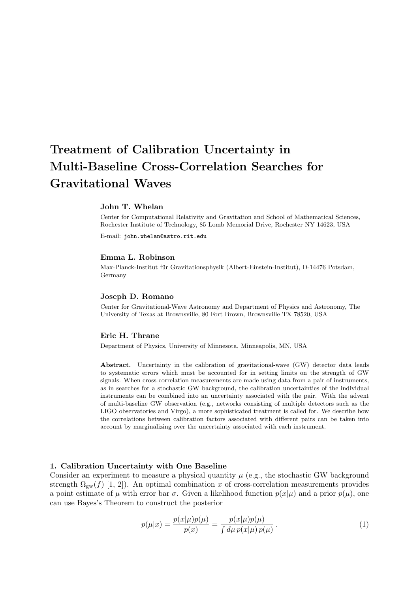# Treatment of Calibration Uncertainty in Multi-Baseline Cross-Correlation Searches for Gravitational Waves

# John T. Whelan

Center for Computational Relativity and Gravitation and School of Mathematical Sciences, Rochester Institute of Technology, 85 Lomb Memorial Drive, Rochester NY 14623, USA

E-mail: john.whelan@astro.rit.edu

## Emma L. Robinson

Max-Planck-Institut für Gravitationsphysik (Albert-Einstein-Institut), D-14476 Potsdam, Germany

# Joseph D. Romano

Center for Gravitational-Wave Astronomy and Department of Physics and Astronomy, The University of Texas at Brownsville, 80 Fort Brown, Brownsville TX 78520, USA

# Eric H. Thrane

Department of Physics, University of Minnesota, Minneapolis, MN, USA

Abstract. Uncertainty in the calibration of gravitational-wave (GW) detector data leads to systematic errors which must be accounted for in setting limits on the strength of GW signals. When cross-correlation measurements are made using data from a pair of instruments, as in searches for a stochastic GW background, the calibration uncertainties of the individual instruments can be combined into an uncertainty associated with the pair. With the advent of multi-baseline GW observation (e.g., networks consisting of multiple detectors such as the LIGO observatories and Virgo), a more sophisticated treatment is called for. We describe how the correlations between calibration factors associated with different pairs can be taken into account by marginalizing over the uncertainty associated with each instrument.

## 1. Calibration Uncertainty with One Baseline

Consider an experiment to measure a physical quantity  $\mu$  (e.g., the stochastic GW background strength  $\Omega_{gw}(f)$  [1, 2]). An optimal combination x of cross-correlation measurements provides a point estimate of  $\mu$  with error bar  $\sigma$ . Given a likelihood function  $p(x|\mu)$  and a prior  $p(\mu)$ , one can use Bayes's Theorem to construct the posterior

$$
p(\mu|x) = \frac{p(x|\mu)p(\mu)}{p(x)} = \frac{p(x|\mu)p(\mu)}{\int d\mu \, p(x|\mu) \, p(\mu)}.
$$
 (1)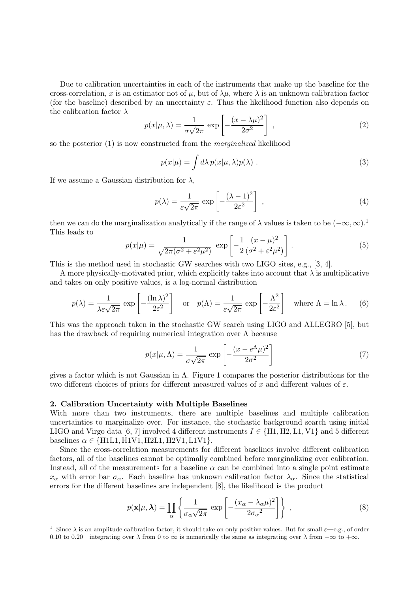Due to calibration uncertainties in each of the instruments that make up the baseline for the cross-correlation, x is an estimator not of  $\mu$ , but of  $\lambda\mu$ , where  $\lambda$  is an unknown calibration factor (for the baseline) described by an uncertainty  $\varepsilon$ . Thus the likelihood function also depends on the calibration factor  $\lambda$ 

$$
p(x|\mu,\lambda) = \frac{1}{\sigma\sqrt{2\pi}} \exp\left[-\frac{(x-\lambda\mu)^2}{2\sigma^2}\right],
$$
 (2)

so the posterior (1) is now constructed from the marginalized likelihood

$$
p(x|\mu) = \int d\lambda \, p(x|\mu, \lambda) p(\lambda) \; . \tag{3}
$$

If we assume a Gaussian distribution for  $\lambda$ ,

$$
p(\lambda) = \frac{1}{\varepsilon\sqrt{2\pi}} \exp\left[-\frac{(\lambda - 1)^2}{2\varepsilon^2}\right] \,,\tag{4}
$$

then we can do the marginalization analytically if the range of  $\lambda$  values is taken to be  $(-\infty, \infty)$ .<sup>1</sup> This leads to

$$
p(x|\mu) = \frac{1}{\sqrt{2\pi(\sigma^2 + \varepsilon^2 \mu^2)}} \exp\left[-\frac{1}{2}\frac{(x-\mu)^2}{(\sigma^2 + \varepsilon^2 \mu^2)}\right].
$$
 (5)

This is the method used in stochastic GW searches with two LIGO sites, e.g., [3, 4].

A more physically-motivated prior, which explicitly takes into account that  $\lambda$  is multiplicative and takes on only positive values, is a log-normal distribution

$$
p(\lambda) = \frac{1}{\lambda \varepsilon \sqrt{2\pi}} \exp\left[-\frac{(\ln \lambda)^2}{2\varepsilon^2}\right] \quad \text{or} \quad p(\Lambda) = \frac{1}{\varepsilon \sqrt{2\pi}} \exp\left[-\frac{\Lambda^2}{2\varepsilon^2}\right] \quad \text{where } \Lambda = \ln \lambda. \tag{6}
$$

This was the approach taken in the stochastic GW search using LIGO and ALLEGRO [5], but has the drawback of requiring numerical integration over Λ because

$$
p(x|\mu,\Lambda) = \frac{1}{\sigma\sqrt{2\pi}} \exp\left[-\frac{(x - e^{\Lambda}\mu)^2}{2\sigma^2}\right]
$$
 (7)

gives a factor which is not Gaussian in Λ. Figure 1 compares the posterior distributions for the two different choices of priors for different measured values of x and different values of  $\varepsilon$ .

#### 2. Calibration Uncertainty with Multiple Baselines

With more than two instruments, there are multiple baselines and multiple calibration uncertainties to marginalize over. For instance, the stochastic background search using initial LIGO and Virgo data [6, 7] involved 4 different instruments  $I \in \{H1, H2, L1, V1\}$  and 5 different baselines  $\alpha \in \{H1L1, H1V1, H2L1, H2V1, L1V1\}.$ 

Since the cross-correlation measurements for different baselines involve different calibration factors, all of the baselines cannot be optimally combined before marginalizing over calibration. Instead, all of the measurements for a baseline  $\alpha$  can be combined into a single point estimate  $x_\alpha$  with error bar  $\sigma_\alpha$ . Each baseline has unknown calibration factor  $\lambda_\alpha$ . Since the statistical errors for the different baselines are independent [8], the likelihood is the product

$$
p(\mathbf{x}|\mu, \boldsymbol{\lambda}) = \prod_{\alpha} \left\{ \frac{1}{\sigma_{\alpha} \sqrt{2\pi}} \exp \left[ -\frac{(x_{\alpha} - \lambda_{\alpha} \mu)^2}{2\sigma_{\alpha}^2} \right] \right\} , \qquad (8)
$$

<sup>1</sup> Since  $\lambda$  is an amplitude calibration factor, it should take on only positive values. But for small  $\varepsilon$ —e.g., of order 0.10 to 0.20—integrating over  $\lambda$  from 0 to  $\infty$  is numerically the same as integrating over  $\lambda$  from  $-\infty$  to  $+\infty$ .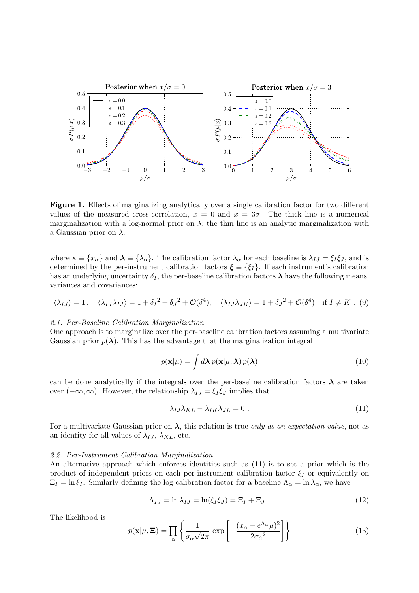

Figure 1. Effects of marginalizing analytically over a single calibration factor for two different values of the measured cross-correlation,  $x = 0$  and  $x = 3\sigma$ . The thick line is a numerical marginalization with a log-normal prior on  $\lambda$ ; the thin line is an analytic marginalization with a Gaussian prior on  $\lambda$ .

where  $\mathbf{x} \equiv \{x_{\alpha}\}\$  and  $\boldsymbol{\lambda} \equiv \{\lambda_{\alpha}\}\$ . The calibration factor  $\lambda_{\alpha}$  for each baseline is  $\lambda_{IJ} = \xi_I \xi_J$ , and is determined by the per-instrument calibration factors  $\boldsymbol{\xi} \equiv \{\xi_I\}$ . If each instrument's calibration has an underlying uncertainty  $\delta_I$ , the per-baseline calibration factors  $\lambda$  have the following means, variances and covariances:

$$
\langle \lambda_{IJ} \rangle = 1, \quad \langle \lambda_{IJ} \lambda_{IJ} \rangle = 1 + \delta_I^2 + \delta_J^2 + \mathcal{O}(\delta^4); \quad \langle \lambda_{IJ} \lambda_{JK} \rangle = 1 + \delta_J^2 + \mathcal{O}(\delta^4) \quad \text{if } I \neq K. \tag{9}
$$

# 2.1. Per-Baseline Calibration Marginalization

One approach is to marginalize over the per-baseline calibration factors assuming a multivariate Gaussian prior  $p(\lambda)$ . This has the advantage that the marginalization integral

$$
p(\mathbf{x}|\mu) = \int d\lambda \, p(\mathbf{x}|\mu, \lambda) \, p(\lambda) \tag{10}
$$

can be done analytically if the integrals over the per-baseline calibration factors  $\lambda$  are taken over  $(-\infty, \infty)$ . However, the relationship  $\lambda_{IJ} = \xi_I \xi_J$  implies that

$$
\lambda_{IJ}\lambda_{KL} - \lambda_{IK}\lambda_{JL} = 0.
$$
\n(11)

For a multivariate Gaussian prior on  $\lambda$ , this relation is true only as an expectation value, not as an identity for all values of  $\lambda_{IJ}$ ,  $\lambda_{KL}$ , etc.

## 2.2. Per-Instrument Calibration Marginalization

An alternative approach which enforces identities such as (11) is to set a prior which is the product of independent priors on each per-instrument calibration factor  $\xi_I$  or equivalently on  $\Xi_I = \ln \xi_I$ . Similarly defining the log-calibration factor for a baseline  $\Lambda_\alpha = \ln \lambda_\alpha$ , we have

$$
\Lambda_{IJ} = \ln \lambda_{IJ} = \ln(\xi_I \xi_J) = \Xi_I + \Xi_J . \tag{12}
$$

The likelihood is

$$
p(\mathbf{x}|\mu, \mathbf{\Xi}) = \prod_{\alpha} \left\{ \frac{1}{\sigma_{\alpha}\sqrt{2\pi}} \exp\left[ -\frac{(x_{\alpha} - e^{\Lambda_{\alpha}}\mu)^2}{2\sigma_{\alpha}^2} \right] \right\}
$$
(13)